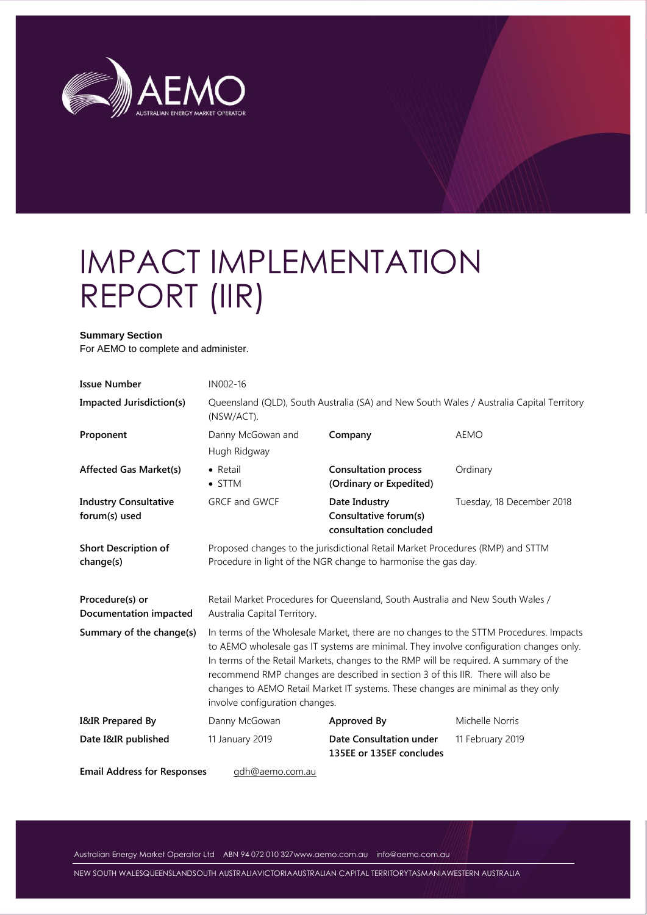

# IMPACT IMPLEMENTATION REPORT (IIR)

#### **Summary Section**

For AEMO to complete and administer.

| <b>Issue Number</b>                           | IN002-16                                                                                                                                                                                                                                                                                                                                                                                                                                                                            |                                                                                |                                                                                          |  |  |
|-----------------------------------------------|-------------------------------------------------------------------------------------------------------------------------------------------------------------------------------------------------------------------------------------------------------------------------------------------------------------------------------------------------------------------------------------------------------------------------------------------------------------------------------------|--------------------------------------------------------------------------------|------------------------------------------------------------------------------------------|--|--|
| <b>Impacted Jurisdiction(s)</b>               | (NSW/ACT).                                                                                                                                                                                                                                                                                                                                                                                                                                                                          |                                                                                | Queensland (QLD), South Australia (SA) and New South Wales / Australia Capital Territory |  |  |
| Proponent                                     | Danny McGowan and<br>Hugh Ridgway                                                                                                                                                                                                                                                                                                                                                                                                                                                   | Company                                                                        | <b>AEMO</b>                                                                              |  |  |
| <b>Affected Gas Market(s)</b>                 | $\bullet$ Retail<br>$\bullet$ STTM                                                                                                                                                                                                                                                                                                                                                                                                                                                  | <b>Consultation process</b><br>(Ordinary or Expedited)                         | Ordinary                                                                                 |  |  |
| <b>Industry Consultative</b><br>forum(s) used | <b>GRCF and GWCF</b><br>Date Industry<br>Tuesday, 18 December 2018<br>Consultative forum(s)<br>consultation concluded                                                                                                                                                                                                                                                                                                                                                               |                                                                                |                                                                                          |  |  |
| <b>Short Description of</b><br>change(s)      | Proposed changes to the jurisdictional Retail Market Procedures (RMP) and STTM<br>Procedure in light of the NGR change to harmonise the gas day.                                                                                                                                                                                                                                                                                                                                    |                                                                                |                                                                                          |  |  |
| Procedure(s) or<br>Documentation impacted     | Australia Capital Territory.                                                                                                                                                                                                                                                                                                                                                                                                                                                        | Retail Market Procedures for Queensland, South Australia and New South Wales / |                                                                                          |  |  |
| Summary of the change(s)                      | In terms of the Wholesale Market, there are no changes to the STTM Procedures. Impacts<br>to AEMO wholesale gas IT systems are minimal. They involve configuration changes only.<br>In terms of the Retail Markets, changes to the RMP will be required. A summary of the<br>recommend RMP changes are described in section 3 of this IIR. There will also be<br>changes to AEMO Retail Market IT systems. These changes are minimal as they only<br>involve configuration changes. |                                                                                |                                                                                          |  |  |
| I&IR Prepared By                              | Danny McGowan                                                                                                                                                                                                                                                                                                                                                                                                                                                                       | Approved By                                                                    | Michelle Norris                                                                          |  |  |
| Date I&IR published                           | 11 January 2019                                                                                                                                                                                                                                                                                                                                                                                                                                                                     | Date Consultation under<br>135EE or 135EF concludes                            | 11 February 2019                                                                         |  |  |
| <b>Email Address for Responses</b>            | adh@aemo.com.au                                                                                                                                                                                                                                                                                                                                                                                                                                                                     |                                                                                |                                                                                          |  |  |

Australian Energy Market Operator Ltd ABN 94 072 010 32[7www.aemo.com.au](http://www.aemo.com.au/) [info@aemo.com.au](mailto:info@aemo.com.au)

NEW SOUTH WALESQUEENSLANDSOUTH AUSTRALIAVICTORIAAUSTRALIAN CAPITAL TERRITORYTASMANIAWESTERN AUSTRALIA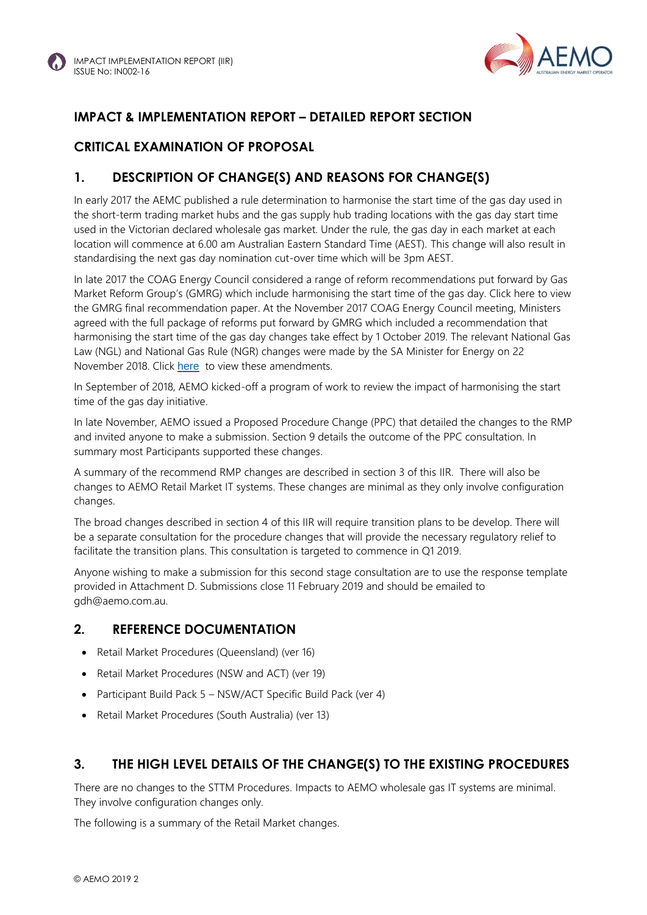

# **IMPACT & IMPLEMENTATION REPORT – DETAILED REPORT SECTION**

#### **CRITICAL EXAMINATION OF PROPOSAL**

## **1. DESCRIPTION OF CHANGE(S) AND REASONS FOR CHANGE(S)**

In early 2017 the AEMC published a rule determination to harmonise the start time of the gas day used in the short-term trading market hubs and the gas supply hub trading locations with the gas day start time used in the Victorian declared wholesale gas market. Under the rule, the gas day in each market at each location will commence at 6.00 am Australian Eastern Standard Time (AEST). This change will also result in standardising the next gas day nomination cut-over time which will be 3pm AEST.

In late 2017 the COAG Energy Council considered a range of reform recommendations put forward by Gas Market Reform Group's (GMRG) which include harmonising the start time of the gas day. Click here to view the GMRG final recommendation paper. At the November 2017 COAG Energy Council meeting, Ministers agreed with the full package of reforms put forward by GMRG which included a recommendation that harmonising the start time of the gas day changes take effect by 1 October 2019. The relevant National Gas Law (NGL) and National Gas Rule (NGR) changes were made by the SA Minister for Energy on 22 November 2018. Click [here](https://www.aemc.gov.au/regulation/energy-rules/national-gas-rules/gas-rules-made-south-australian-minister) to view these amendments.

In September of 2018, AEMO kicked-off a program of work to review the impact of harmonising the start time of the gas day initiative.

In late November, AEMO issued a Proposed Procedure Change (PPC) that detailed the changes to the RMP and invited anyone to make a submission. Section 9 details the outcome of the PPC consultation. In summary most Participants supported these changes.

A summary of the recommend RMP changes are described in section 3 of this IIR. There will also be changes to AEMO Retail Market IT systems. These changes are minimal as they only involve configuration changes.

The broad changes described in section 4 of this IIR will require transition plans to be develop. There will be a separate consultation for the procedure changes that will provide the necessary regulatory relief to facilitate the transition plans. This consultation is targeted to commence in Q1 2019.

Anyone wishing to make a submission for this second stage consultation are to use the response template provided in Attachment D. Submissions close 11 February 2019 and should be emailed to gdh@aemo.com.au.

#### **2. REFERENCE DOCUMENTATION**

- Retail Market Procedures (Queensland) (ver 16)
- Retail Market Procedures (NSW and ACT) (ver 19)
- Participant Build Pack 5 NSW/ACT Specific Build Pack (ver 4)
- Retail Market Procedures (South Australia) (ver 13)

#### **3. THE HIGH LEVEL DETAILS OF THE CHANGE(S) TO THE EXISTING PROCEDURES**

There are no changes to the STTM Procedures. Impacts to AEMO wholesale gas IT systems are minimal. They involve configuration changes only.

The following is a summary of the Retail Market changes.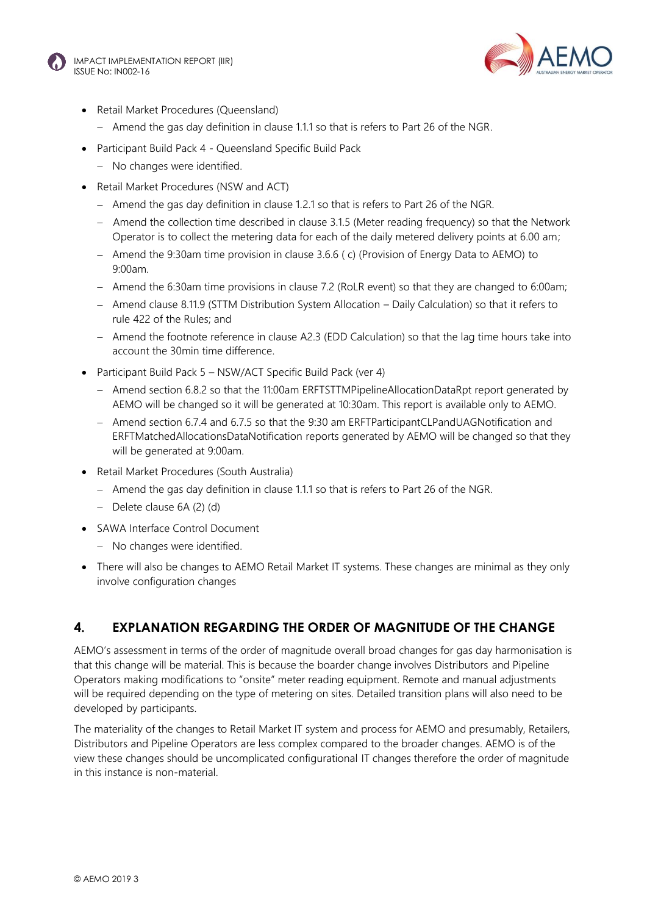



- Retail Market Procedures (Queensland)
	- $-$  Amend the gas day definition in clause 1.1.1 so that is refers to Part 26 of the NGR.
- Participant Build Pack 4 Queensland Specific Build Pack
	- No changes were identified.
- Retail Market Procedures (NSW and ACT)
	- $-$  Amend the gas day definition in clause 1.2.1 so that is refers to Part 26 of the NGR.
	- Amend the collection time described in clause 3.1.5 (Meter reading frequency) so that the Network Operator is to collect the metering data for each of the daily metered delivery points at 6.00 am;
	- $-$  Amend the 9:30am time provision in clause 3.6.6 ( c) (Provision of Energy Data to AEMO) to 9:00am.
	- Amend the 6:30am time provisions in clause 7.2 (RoLR event) so that they are changed to 6:00am;
	- Amend clause 8.11.9 (STTM Distribution System Allocation Daily Calculation) so that it refers to rule 422 of the Rules; and
	- Amend the footnote reference in clause A2.3 (EDD Calculation) so that the lag time hours take into account the 30min time difference.
- Participant Build Pack 5 NSW/ACT Specific Build Pack (ver 4)
	- Amend section 6.8.2 so that the 11:00am ERFTSTTMPipelineAllocationDataRpt report generated by AEMO will be changed so it will be generated at 10:30am. This report is available only to AEMO.
	- Amend section 6.7.4 and 6.7.5 so that the 9:30 am ERFTParticipantCLPandUAGNotification and ERFTMatchedAllocationsDataNotification reports generated by AEMO will be changed so that they will be generated at 9:00am.
- Retail Market Procedures (South Australia)
	- Amend the gas day definition in clause 1.1.1 so that is refers to Part 26 of the NGR.
	- Delete clause 6A (2) (d)
- SAWA Interface Control Document
	- No changes were identified.
- There will also be changes to AEMO Retail Market IT systems. These changes are minimal as they only involve configuration changes

#### **4. EXPLANATION REGARDING THE ORDER OF MAGNITUDE OF THE CHANGE**

AEMO's assessment in terms of the order of magnitude overall broad changes for gas day harmonisation is that this change will be material. This is because the boarder change involves Distributors and Pipeline Operators making modifications to "onsite" meter reading equipment. Remote and manual adjustments will be required depending on the type of metering on sites. Detailed transition plans will also need to be developed by participants.

The materiality of the changes to Retail Market IT system and process for AEMO and presumably, Retailers, Distributors and Pipeline Operators are less complex compared to the broader changes. AEMO is of the view these changes should be uncomplicated configurational IT changes therefore the order of magnitude in this instance is non-material.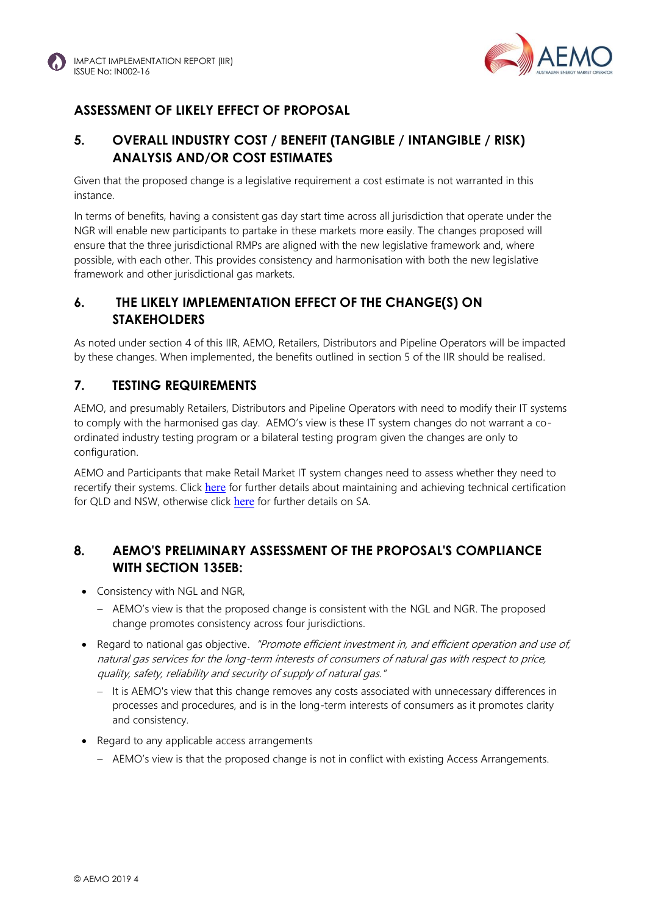

# **ASSESSMENT OF LIKELY EFFECT OF PROPOSAL**

## **5. OVERALL INDUSTRY COST / BENEFIT (TANGIBLE / INTANGIBLE / RISK) ANALYSIS AND/OR COST ESTIMATES**

Given that the proposed change is a legislative requirement a cost estimate is not warranted in this instance.

In terms of benefits, having a consistent gas day start time across all jurisdiction that operate under the NGR will enable new participants to partake in these markets more easily. The changes proposed will ensure that the three jurisdictional RMPs are aligned with the new legislative framework and, where possible, with each other. This provides consistency and harmonisation with both the new legislative framework and other jurisdictional gas markets.

#### **6. THE LIKELY IMPLEMENTATION EFFECT OF THE CHANGE(S) ON STAKEHOLDERS**

As noted under section 4 of this IIR, AEMO, Retailers, Distributors and Pipeline Operators will be impacted by these changes. When implemented, the benefits outlined in section 5 of the IIR should be realised.

#### **7. TESTING REQUIREMENTS**

AEMO, and presumably Retailers, Distributors and Pipeline Operators with need to modify their IT systems to comply with the harmonised gas day. AEMO's view is these IT system changes do not warrant a coordinated industry testing program or a bilateral testing program given the changes are only to configuration.

AEMO and Participants that make Retail Market IT system changes need to assess whether they need to recertify their systems. Click [here](http://www.aemo.com.au/-/media/Files/Gas/IT_Systems/2017/Gas-FRC-B2B-Connectivity-Testing-and-Sys-Certification-ver18-Clean.pdf) for further details about maintaining and achieving technical certification for QLD and NSW, otherwise click [here](http://www.aemo.com.au/-/media/Files/Gas/Retail_Markets_and_Metering/Market-Procedures/SA_and_WA/2017/Connectivity-Testing-and-Technical-Certification-v36-clean.pdf) for further details on SA.

## **8. AEMO'S PRELIMINARY ASSESSMENT OF THE PROPOSAL'S COMPLIANCE WITH SECTION 135EB:**

- Consistency with NGL and NGR,
	- AEMO's view is that the proposed change is consistent with the NGL and NGR. The proposed change promotes consistency across four jurisdictions.
- Regard to national gas objective. "Promote efficient investment in, and efficient operation and use of, natural gas services for the long-term interests of consumers of natural gas with respect to price, quality, safety, reliability and security of supply of natural gas."
	- It is AEMO's view that this change removes any costs associated with unnecessary differences in processes and procedures, and is in the long-term interests of consumers as it promotes clarity and consistency.
- Regard to any applicable access arrangements
	- AEMO's view is that the proposed change is not in conflict with existing Access Arrangements.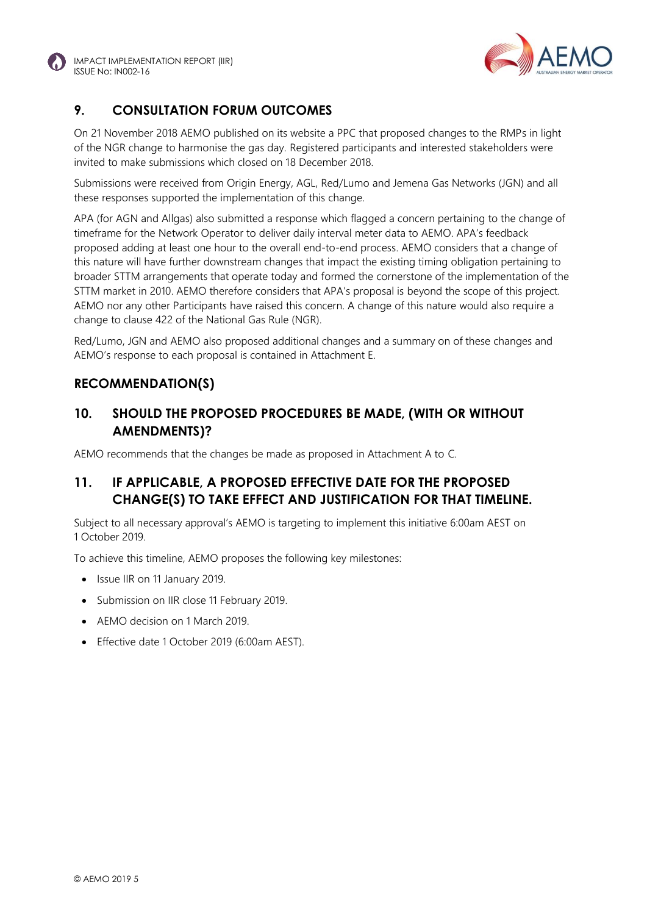



#### **9. CONSULTATION FORUM OUTCOMES**

On 21 November 2018 AEMO published on its website a PPC that proposed changes to the RMPs in light of the NGR change to harmonise the gas day. Registered participants and interested stakeholders were invited to make submissions which closed on 18 December 2018.

Submissions were received from Origin Energy, AGL, Red/Lumo and Jemena Gas Networks (JGN) and all these responses supported the implementation of this change.

APA (for AGN and Allgas) also submitted a response which flagged a concern pertaining to the change of timeframe for the Network Operator to deliver daily interval meter data to AEMO. APA's feedback proposed adding at least one hour to the overall end-to-end process. AEMO considers that a change of this nature will have further downstream changes that impact the existing timing obligation pertaining to broader STTM arrangements that operate today and formed the cornerstone of the implementation of the STTM market in 2010. AEMO therefore considers that APA's proposal is beyond the scope of this project. AEMO nor any other Participants have raised this concern. A change of this nature would also require a change to clause 422 of the National Gas Rule (NGR).

Red/Lumo, JGN and AEMO also proposed additional changes and a summary on of these changes and AEMO's response to each proposal is contained in Attachment E.

#### **RECOMMENDATION(S)**

#### **10. SHOULD THE PROPOSED PROCEDURES BE MADE, (WITH OR WITHOUT AMENDMENTS)?**

AEMO recommends that the changes be made as proposed in Attachment A to C.

#### **11. IF APPLICABLE, A PROPOSED EFFECTIVE DATE FOR THE PROPOSED CHANGE(S) TO TAKE EFFECT AND JUSTIFICATION FOR THAT TIMELINE.**

Subject to all necessary approval's AEMO is targeting to implement this initiative 6:00am AEST on 1 October 2019.

To achieve this timeline, AEMO proposes the following key milestones:

- Issue IIR on 11 January 2019.
- Submission on IIR close 11 February 2019.
- AEMO decision on 1 March 2019.
- Effective date 1 October 2019 (6:00am AEST).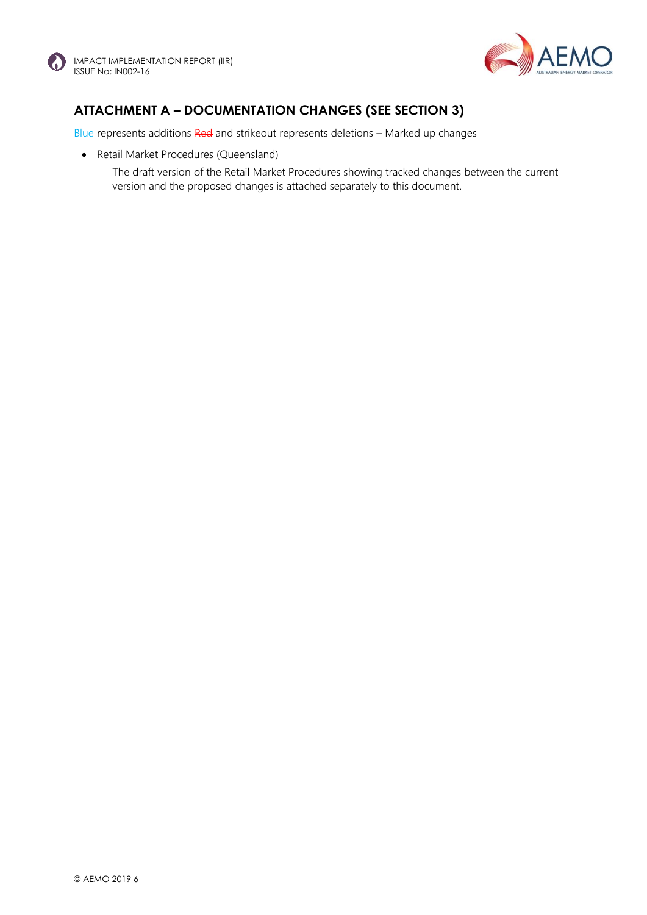



# **ATTACHMENT A – DOCUMENTATION CHANGES (SEE SECTION 3)**

Blue represents additions Red and strikeout represents deletions - Marked up changes

- Retail Market Procedures (Queensland)
	- The draft version of the Retail Market Procedures showing tracked changes between the current version and the proposed changes is attached separately to this document.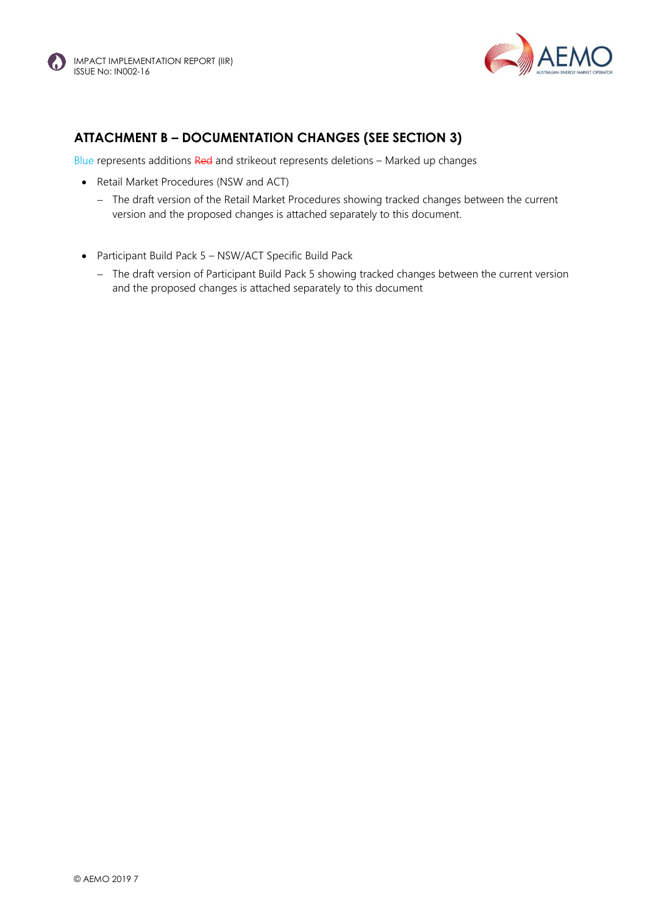



# **ATTACHMENT B – DOCUMENTATION CHANGES (SEE SECTION 3)**

Blue represents additions Red and strikeout represents deletions – Marked up changes

- Retail Market Procedures (NSW and ACT)
	- The draft version of the Retail Market Procedures showing tracked changes between the current version and the proposed changes is attached separately to this document.
- Participant Build Pack 5 NSW/ACT Specific Build Pack
	- The draft version of Participant Build Pack 5 showing tracked changes between the current version and the proposed changes is attached separately to this document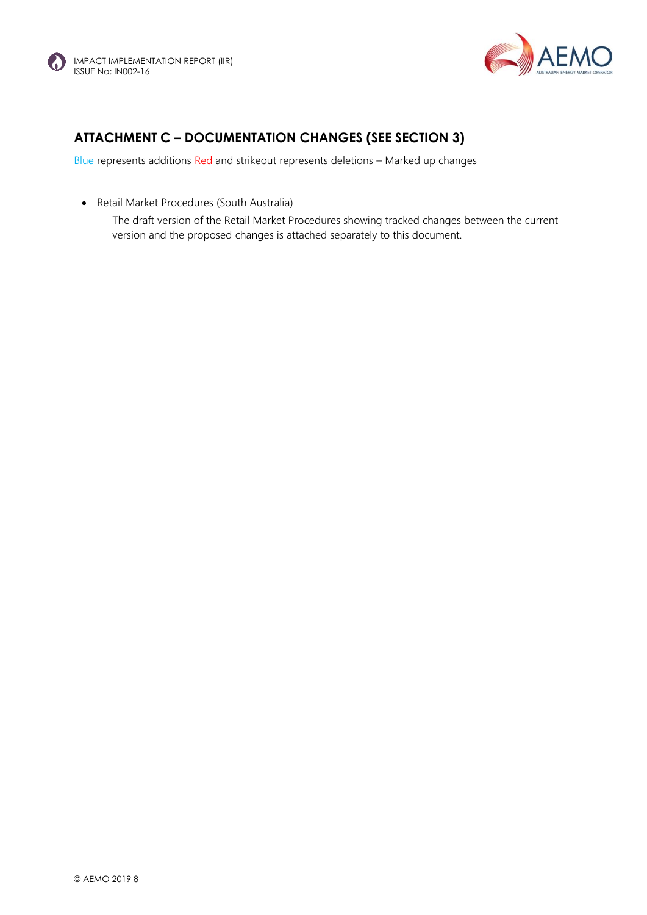



# **ATTACHMENT C – DOCUMENTATION CHANGES (SEE SECTION 3)**

Blue represents additions Red and strikeout represents deletions - Marked up changes

- Retail Market Procedures (South Australia)
	- The draft version of the Retail Market Procedures showing tracked changes between the current version and the proposed changes is attached separately to this document.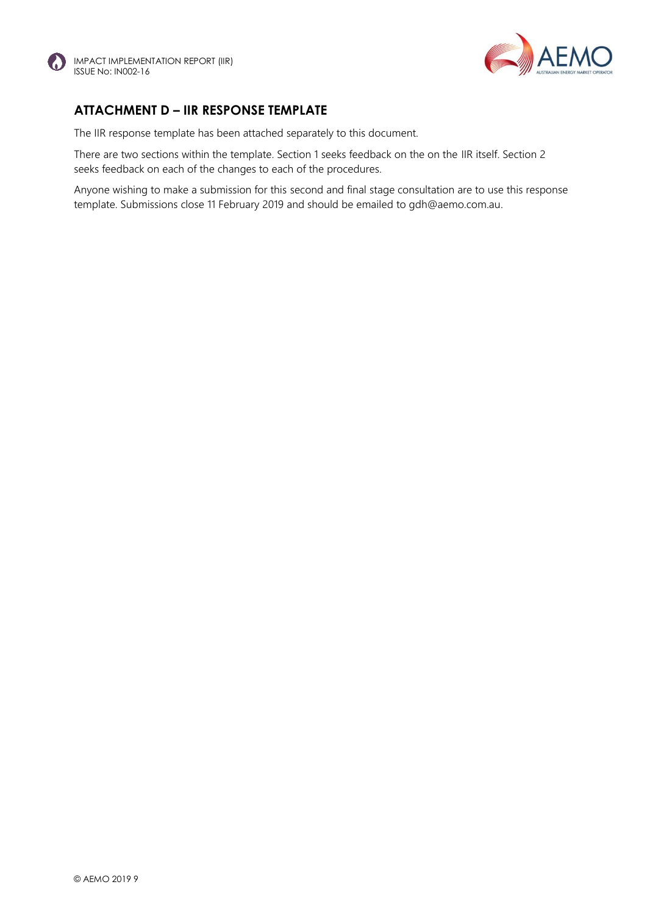



#### **ATTACHMENT D – IIR RESPONSE TEMPLATE**

The IIR response template has been attached separately to this document.

There are two sections within the template. Section 1 seeks feedback on the on the IIR itself. Section 2 seeks feedback on each of the changes to each of the procedures.

Anyone wishing to make a submission for this second and final stage consultation are to use this response template. Submissions close 11 February 2019 and should be emailed to gdh@aemo.com.au.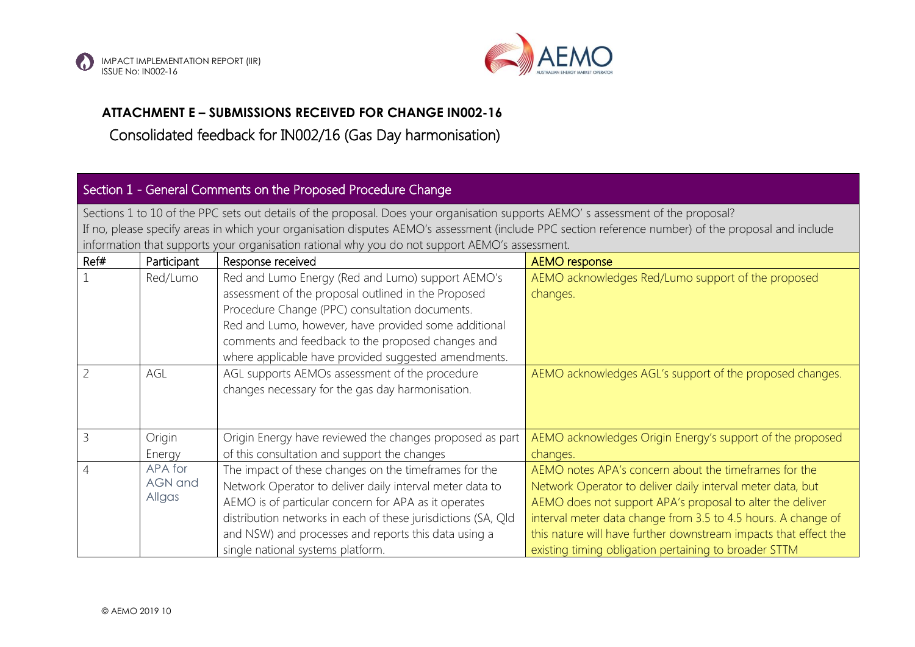



# **ATTACHMENT E – SUBMISSIONS RECEIVED FOR CHANGE IN002-16**

# Consolidated feedback for IN002/16 (Gas Day harmonisation)

# Section 1 - General Comments on the Proposed Procedure Change

Sections 1 to 10 of the PPC sets out details of the proposal. Does your organisation supports AEMO' s assessment of the proposal? If no, please specify areas in which your organisation disputes AEMO's assessment (include PPC section reference number) of the proposal and include information that supports your organisation rational why you do not support AEMO's assessment.

| Ref# | Participant    | Response received                                             | <b>AEMO</b> response                                             |
|------|----------------|---------------------------------------------------------------|------------------------------------------------------------------|
|      | Red/Lumo       | Red and Lumo Energy (Red and Lumo) support AEMO's             | AEMO acknowledges Red/Lumo support of the proposed               |
|      |                | assessment of the proposal outlined in the Proposed           | changes.                                                         |
|      |                | Procedure Change (PPC) consultation documents.                |                                                                  |
|      |                | Red and Lumo, however, have provided some additional          |                                                                  |
|      |                | comments and feedback to the proposed changes and             |                                                                  |
|      |                | where applicable have provided suggested amendments.          |                                                                  |
|      | AGL            | AGL supports AEMOs assessment of the procedure                | AEMO acknowledges AGL's support of the proposed changes.         |
|      |                | changes necessary for the gas day harmonisation.              |                                                                  |
|      |                |                                                               |                                                                  |
|      |                |                                                               |                                                                  |
|      | Origin         | Origin Energy have reviewed the changes proposed as part      | AEMO acknowledges Origin Energy's support of the proposed        |
|      | Energy         | of this consultation and support the changes                  | changes.                                                         |
|      | APA for        | The impact of these changes on the timeframes for the         | AEMO notes APA's concern about the timeframes for the            |
|      | <b>AGN</b> and | Network Operator to deliver daily interval meter data to      | Network Operator to deliver daily interval meter data, but       |
|      | Allgas         | AEMO is of particular concern for APA as it operates          | AEMO does not support APA's proposal to alter the deliver        |
|      |                | distribution networks in each of these jurisdictions (SA, Qld | interval meter data change from 3.5 to 4.5 hours. A change of    |
|      |                | and NSW) and processes and reports this data using a          | this nature will have further downstream impacts that effect the |
|      |                | single national systems platform.                             | existing timing obligation pertaining to broader STTM            |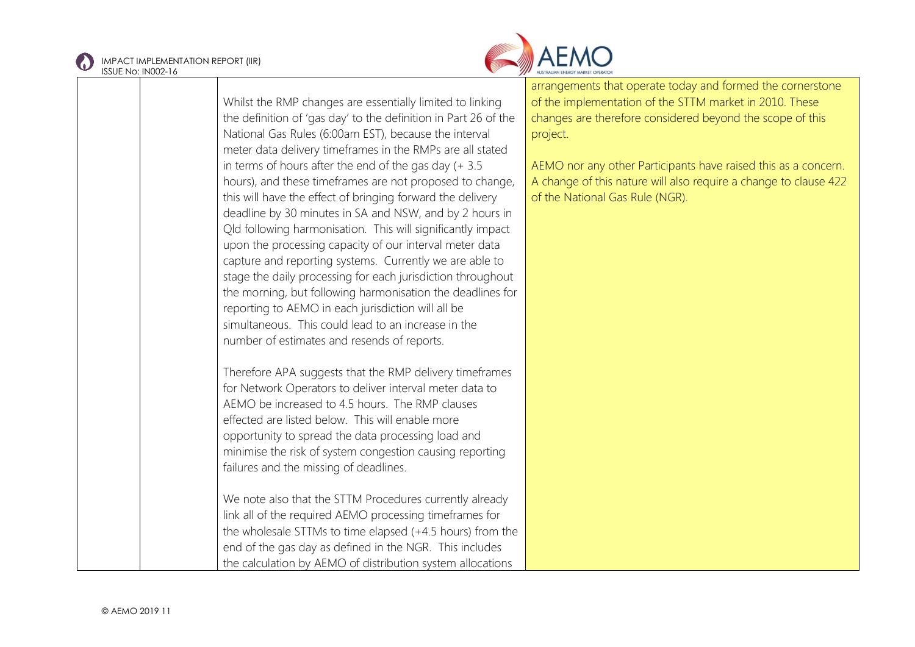



Whilst the RMP changes are essentially limited to linking the definition of 'gas day' to the definition in Part 26 of the National Gas Rules (6:00am EST), because the interval meter data delivery timeframes in the RMPs are all stated in terms of hours after the end of the gas day (+ 3.5 hours), and these timeframes are not proposed to change, this will have the effect of bringing forward the delivery deadline by 30 minutes in SA and NSW, and by 2 hours in Qld following harmonisation. This will significantly impact upon the processing capacity of our interval meter data capture and reporting systems. Currently we are able to stage the daily processing for each jurisdiction throughout the morning, but following harmonisation the deadlines for reporting to AEMO in each jurisdiction will all be simultaneous. This could lead to an increase in the number of estimates and resends of reports. Therefore APA suggests that the RMP delivery timeframes for Network Operators to deliver interval meter data to  $AFMO$  be increased to 4.5 hours. The RMP clauses effected are listed below. This will enable more opportunity to spread the data processing load and minimise the risk of system congestion causing reporting failures and the missing of deadlines. We note also that the STTM Procedures currently already link all of the required AEMO processing timeframes for the wholesale STTMs to time elapsed (+4.5 hours) from the end of the gas day as defined in the NGR. This includes

the calculation by AEMO of distribution system allocations

arrangements that operate today and formed the cornerstone of the implementation of the STTM market in 2010. These changes are therefore considered beyond the scope of this project.

AEMO nor any other Participants have raised this as a concern. A change of this nature will also require a change to clause 422 of the National Gas Rule (NGR).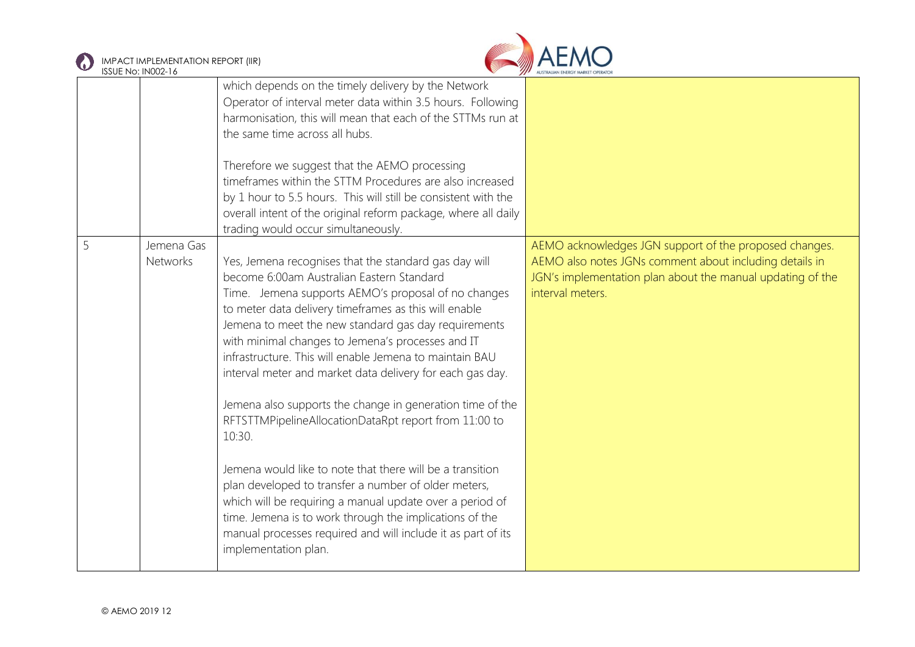



|   |                               | which depends on the timely delivery by the Network<br>Operator of interval meter data within 3.5 hours. Following<br>harmonisation, this will mean that each of the STTMs run at<br>the same time across all hubs.<br>Therefore we suggest that the AEMO processing<br>timeframes within the STTM Procedures are also increased<br>by 1 hour to 5.5 hours. This will still be consistent with the<br>overall intent of the original reform package, where all daily<br>trading would occur simultaneously.                                                                                                                                                                                                                                                                                                                                                                                                                 |                                                                                                                                                                                                     |
|---|-------------------------------|-----------------------------------------------------------------------------------------------------------------------------------------------------------------------------------------------------------------------------------------------------------------------------------------------------------------------------------------------------------------------------------------------------------------------------------------------------------------------------------------------------------------------------------------------------------------------------------------------------------------------------------------------------------------------------------------------------------------------------------------------------------------------------------------------------------------------------------------------------------------------------------------------------------------------------|-----------------------------------------------------------------------------------------------------------------------------------------------------------------------------------------------------|
| 5 | Jemena Gas<br><b>Networks</b> | Yes, Jemena recognises that the standard gas day will<br>become 6:00am Australian Eastern Standard<br>Time. Jemena supports AEMO's proposal of no changes<br>to meter data delivery timeframes as this will enable<br>Jemena to meet the new standard gas day requirements<br>with minimal changes to Jemena's processes and IT<br>infrastructure. This will enable Jemena to maintain BAU<br>interval meter and market data delivery for each gas day.<br>Jemena also supports the change in generation time of the<br>RFTSTTMPipelineAllocationDataRpt report from 11:00 to<br>10:30.<br>Jemena would like to note that there will be a transition<br>plan developed to transfer a number of older meters,<br>which will be requiring a manual update over a period of<br>time. Jemena is to work through the implications of the<br>manual processes required and will include it as part of its<br>implementation plan. | AEMO acknowledges JGN support of the proposed changes.<br>AEMO also notes JGNs comment about including details in<br>JGN's implementation plan about the manual updating of the<br>interval meters. |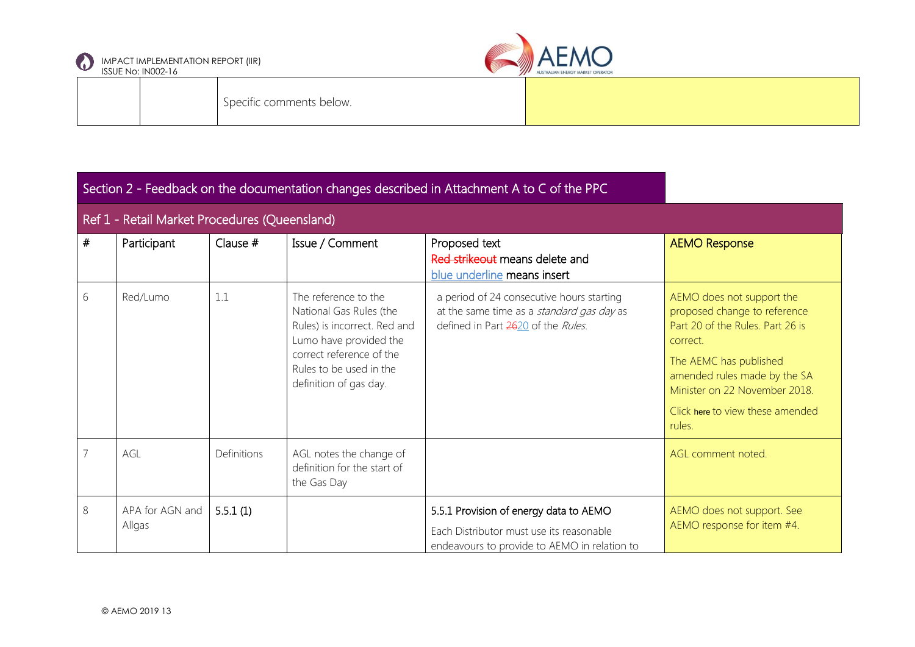



Specific comments below.

|                | Section 2 - Feedback on the documentation changes described in Attachment A to C of the PPC |             |                                                                                                                                                                                            |                                                                                                                                    |                                                                                                                                                                                                                                                    |
|----------------|---------------------------------------------------------------------------------------------|-------------|--------------------------------------------------------------------------------------------------------------------------------------------------------------------------------------------|------------------------------------------------------------------------------------------------------------------------------------|----------------------------------------------------------------------------------------------------------------------------------------------------------------------------------------------------------------------------------------------------|
|                | Ref 1 - Retail Market Procedures (Queensland)                                               |             |                                                                                                                                                                                            |                                                                                                                                    |                                                                                                                                                                                                                                                    |
| #              | Participant                                                                                 | Clause $#$  | Issue / Comment                                                                                                                                                                            | Proposed text<br>Red strikeout means delete and<br>blue underline means insert                                                     | <b>AEMO Response</b>                                                                                                                                                                                                                               |
| 6              | Red/Lumo                                                                                    | 1.1         | The reference to the<br>National Gas Rules (the<br>Rules) is incorrect. Red and<br>Lumo have provided the<br>correct reference of the<br>Rules to be used in the<br>definition of gas day. | a period of 24 consecutive hours starting<br>at the same time as a standard gas day as<br>defined in Part 2620 of the Rules.       | AEMO does not support the<br>proposed change to reference<br>Part 20 of the Rules. Part 26 is<br>correct.<br>The AEMC has published<br>amended rules made by the SA<br>Minister on 22 November 2018.<br>Click here to view these amended<br>rules. |
| $\overline{7}$ | AGL                                                                                         | Definitions | AGL notes the change of<br>definition for the start of<br>the Gas Day                                                                                                                      |                                                                                                                                    | AGL comment noted.                                                                                                                                                                                                                                 |
| 8              | APA for AGN and<br>Allgas                                                                   | 5.5.1(1)    |                                                                                                                                                                                            | 5.5.1 Provision of energy data to AEMO<br>Each Distributor must use its reasonable<br>endeavours to provide to AEMO in relation to | AEMO does not support. See<br>AEMO response for item #4.                                                                                                                                                                                           |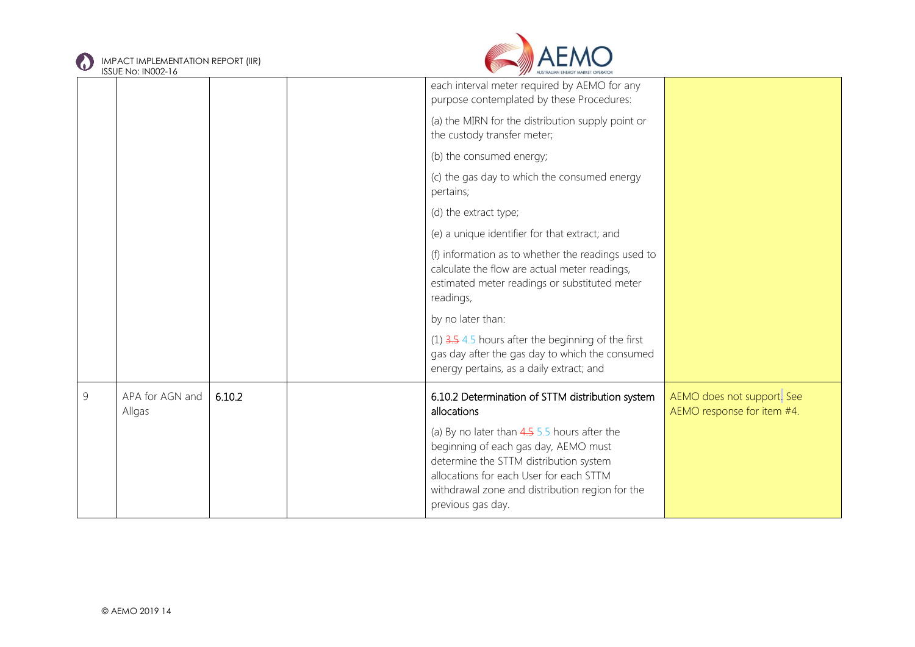



|   | <b>IJJUL INU. IINUUZ-TU</b> |        |                                                                                                                                                                                                                                                    |                                                          |
|---|-----------------------------|--------|----------------------------------------------------------------------------------------------------------------------------------------------------------------------------------------------------------------------------------------------------|----------------------------------------------------------|
|   |                             |        | each interval meter required by AEMO for any<br>purpose contemplated by these Procedures:                                                                                                                                                          |                                                          |
|   |                             |        | (a) the MIRN for the distribution supply point or<br>the custody transfer meter;                                                                                                                                                                   |                                                          |
|   |                             |        | (b) the consumed energy;                                                                                                                                                                                                                           |                                                          |
|   |                             |        | (c) the gas day to which the consumed energy<br>pertains;                                                                                                                                                                                          |                                                          |
|   |                             |        | (d) the extract type;                                                                                                                                                                                                                              |                                                          |
|   |                             |        | (e) a unique identifier for that extract; and                                                                                                                                                                                                      |                                                          |
|   |                             |        | (f) information as to whether the readings used to<br>calculate the flow are actual meter readings,<br>estimated meter readings or substituted meter<br>readings,                                                                                  |                                                          |
|   |                             |        | by no later than:                                                                                                                                                                                                                                  |                                                          |
|   |                             |        | $(1)$ 3.5 4.5 hours after the beginning of the first<br>gas day after the gas day to which the consumed<br>energy pertains, as a daily extract; and                                                                                                |                                                          |
| 9 | APA for AGN and<br>Allgas   | 6.10.2 | 6.10.2 Determination of STTM distribution system<br>allocations                                                                                                                                                                                    | AEMO does not support. See<br>AEMO response for item #4. |
|   |                             |        | (a) By no later than $4.55.5$ hours after the<br>beginning of each gas day, AEMO must<br>determine the STTM distribution system<br>allocations for each User for each STTM<br>withdrawal zone and distribution region for the<br>previous gas day. |                                                          |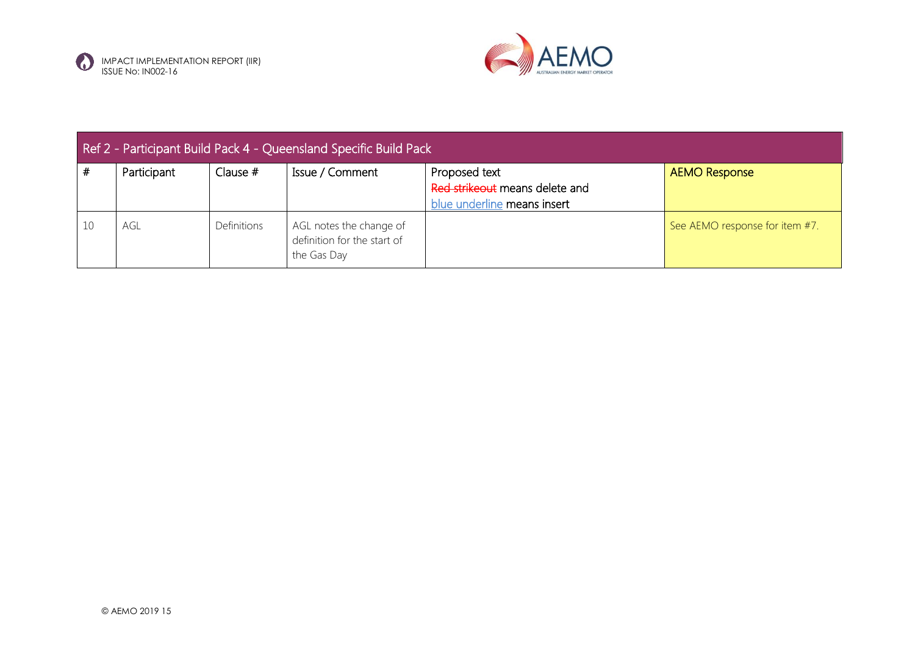



| Ref 2 - Participant Build Pack 4 - Queensland Specific Build Pack |             |             |                                                                       |                                                                                |                                |  |
|-------------------------------------------------------------------|-------------|-------------|-----------------------------------------------------------------------|--------------------------------------------------------------------------------|--------------------------------|--|
| #                                                                 | Participant | Clause $#$  | Issue / Comment                                                       | Proposed text<br>Red strikeout means delete and<br>blue underline means insert | <b>AEMO Response</b>           |  |
| 10                                                                | AGL         | Definitions | AGL notes the change of<br>definition for the start of<br>the Gas Day |                                                                                | See AEMO response for item #7. |  |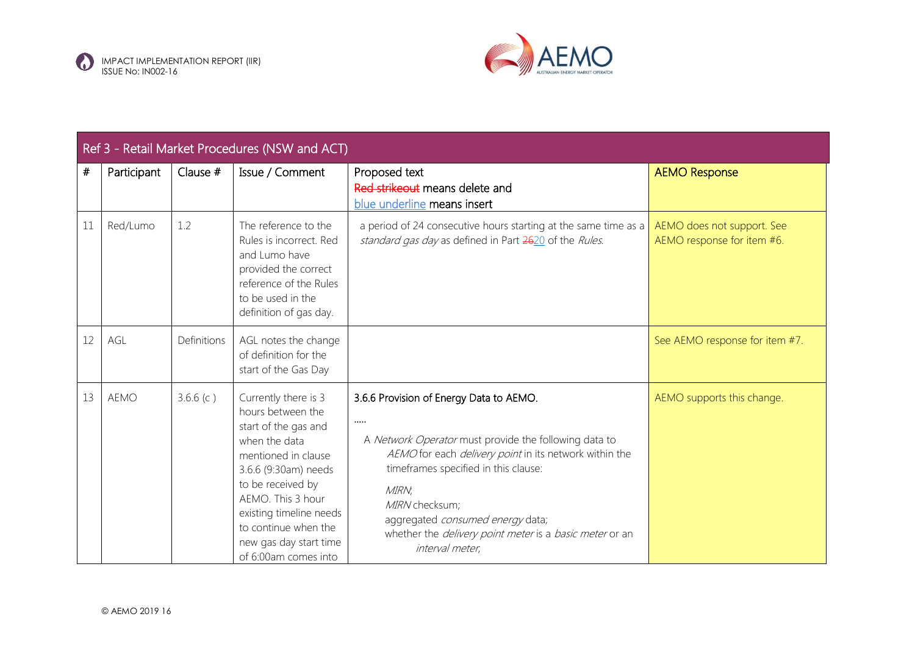



|      | Ref 3 - Retail Market Procedures (NSW and ACT) |             |                                                                                                                                                                                                                                                                                  |                                                                                                                                                                                                                                                                                                                                                                                  |                                                          |  |  |
|------|------------------------------------------------|-------------|----------------------------------------------------------------------------------------------------------------------------------------------------------------------------------------------------------------------------------------------------------------------------------|----------------------------------------------------------------------------------------------------------------------------------------------------------------------------------------------------------------------------------------------------------------------------------------------------------------------------------------------------------------------------------|----------------------------------------------------------|--|--|
| $\#$ | Participant                                    | Clause #    | Issue / Comment                                                                                                                                                                                                                                                                  | Proposed text<br>Red strikeout means delete and<br>blue underline means insert                                                                                                                                                                                                                                                                                                   | <b>AEMO Response</b>                                     |  |  |
| 11   | Red/Lumo                                       | 1.2         | The reference to the<br>Rules is incorrect. Red<br>and Lumo have<br>provided the correct<br>reference of the Rules<br>to be used in the<br>definition of gas day.                                                                                                                | a period of 24 consecutive hours starting at the same time as a<br>standard gas day as defined in Part 2620 of the Rules.                                                                                                                                                                                                                                                        | AEMO does not support. See<br>AEMO response for item #6. |  |  |
| 12   | AGL                                            | Definitions | AGL notes the change<br>of definition for the<br>start of the Gas Day                                                                                                                                                                                                            |                                                                                                                                                                                                                                                                                                                                                                                  | See AEMO response for item #7.                           |  |  |
| 13   | <b>AEMO</b>                                    | 3.6.6(c)    | Currently there is 3<br>hours between the<br>start of the gas and<br>when the data<br>mentioned in clause<br>3.6.6 (9:30am) needs<br>to be received by<br>AEMO. This 3 hour<br>existing timeline needs<br>to continue when the<br>new gas day start time<br>of 6:00am comes into | 3.6.6 Provision of Energy Data to AEMO.<br>$\cdots$<br>A Network Operator must provide the following data to<br>AEMO for each <i>delivery point</i> in its network within the<br>timeframes specified in this clause:<br>MIRN,<br>MIRN checksum;<br>aggregated consumed energy data;<br>whether the <i>delivery point meter</i> is a <i>basic meter</i> or an<br>interval meter, | AEMO supports this change.                               |  |  |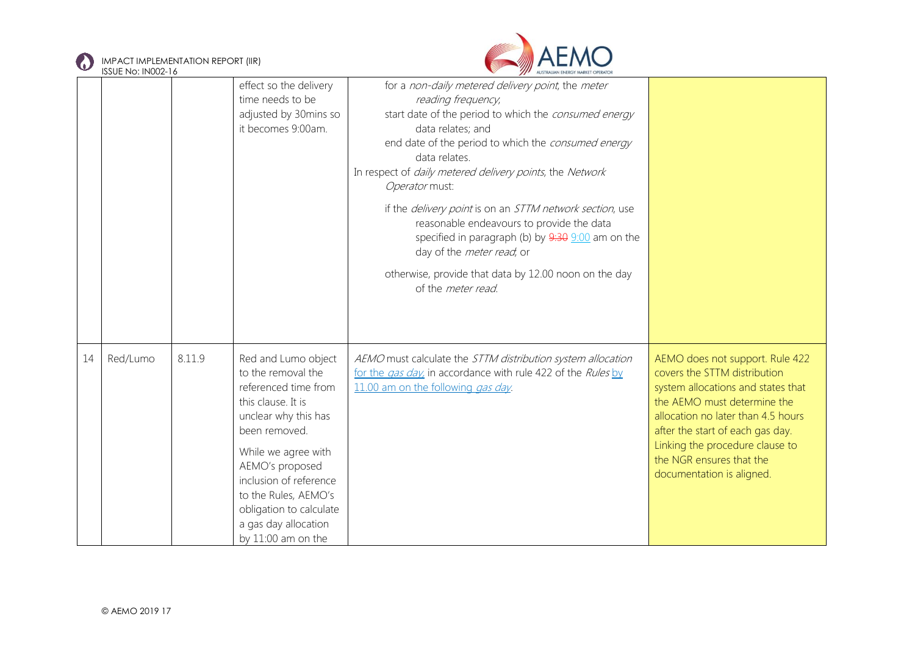

IMPACT IMPLEMENTATION REPORT (IIR)



|    | <b>ISSUE No: IN002-16</b> |        |                                                                                                                                                                                                                                                                                                       | AUSTRALIAN ENERGY MARKET OPERATOR                                                                                                                                                                                                                                                                                                                                                                                                                                                                                                                                                                            |                                                                                                                                                                                                                                                                                                            |
|----|---------------------------|--------|-------------------------------------------------------------------------------------------------------------------------------------------------------------------------------------------------------------------------------------------------------------------------------------------------------|--------------------------------------------------------------------------------------------------------------------------------------------------------------------------------------------------------------------------------------------------------------------------------------------------------------------------------------------------------------------------------------------------------------------------------------------------------------------------------------------------------------------------------------------------------------------------------------------------------------|------------------------------------------------------------------------------------------------------------------------------------------------------------------------------------------------------------------------------------------------------------------------------------------------------------|
|    |                           |        | effect so the delivery<br>time needs to be<br>adjusted by 30mins so<br>it becomes 9:00am.                                                                                                                                                                                                             | for a non-daily metered delivery point, the meter<br>reading frequency,<br>start date of the period to which the consumed energy<br>data relates; and<br>end date of the period to which the consumed energy<br>data relates.<br>In respect of <i>daily metered delivery points</i> , the Network<br>Operator must:<br>if the <i>delivery point</i> is on an STTM network section, use<br>reasonable endeavours to provide the data<br>specified in paragraph (b) by 9:30 9:00 am on the<br>day of the <i>meter read</i> , or<br>otherwise, provide that data by 12.00 noon on the day<br>of the meter read. |                                                                                                                                                                                                                                                                                                            |
| 14 | Red/Lumo                  | 8.11.9 | Red and Lumo object<br>to the removal the<br>referenced time from<br>this clause. It is<br>unclear why this has<br>been removed.<br>While we agree with<br>AEMO's proposed<br>inclusion of reference<br>to the Rules, AEMO's<br>obligation to calculate<br>a gas day allocation<br>by 11:00 am on the | AEMO must calculate the STTM distribution system allocation<br>for the gas day, in accordance with rule 422 of the Rules by<br>11.00 am on the following <i>gas day</i> .                                                                                                                                                                                                                                                                                                                                                                                                                                    | AEMO does not support. Rule 422<br>covers the STTM distribution<br>system allocations and states that<br>the AEMO must determine the<br>allocation no later than 4.5 hours<br>after the start of each gas day.<br>Linking the procedure clause to<br>the NGR ensures that the<br>documentation is aligned. |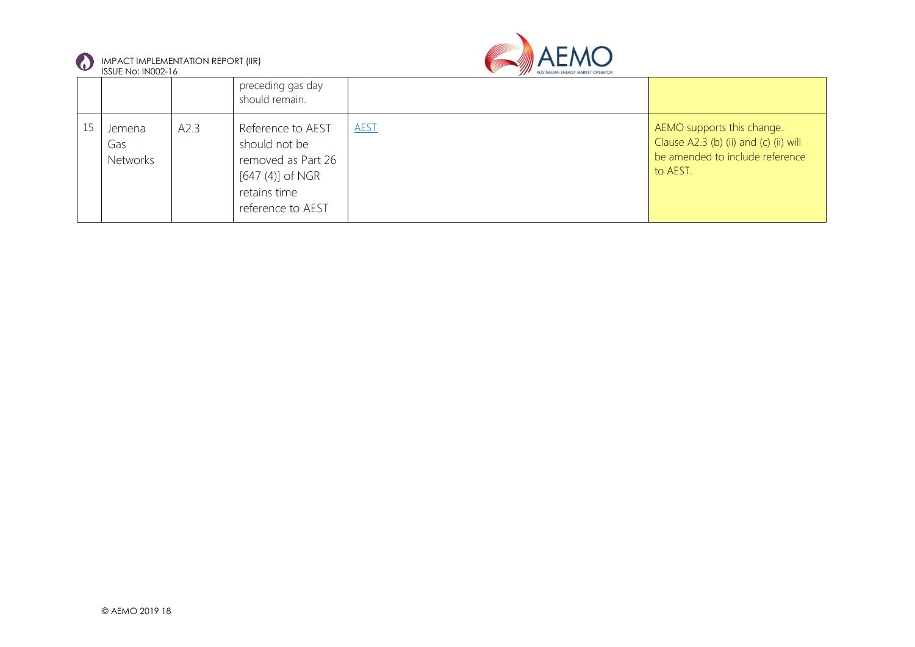

IMPACT IMPLEMENTATION REPORT (IIR)



| -- | ISSUE No: IN002-16               |      |                                                                                                                     |             |                                                                                                                     |
|----|----------------------------------|------|---------------------------------------------------------------------------------------------------------------------|-------------|---------------------------------------------------------------------------------------------------------------------|
|    |                                  |      | preceding gas day<br>should remain.                                                                                 |             |                                                                                                                     |
|    | Jemena<br>Gas<br><b>Networks</b> | A2.3 | Reference to AEST<br>should not be<br>removed as Part 26<br>$[647 (4)]$ of NGR<br>retains time<br>reference to AEST | <b>AEST</b> | AEMO supports this change.<br>Clause A2.3 (b) (ii) and (c) (ii) will<br>be amended to include reference<br>to AEST. |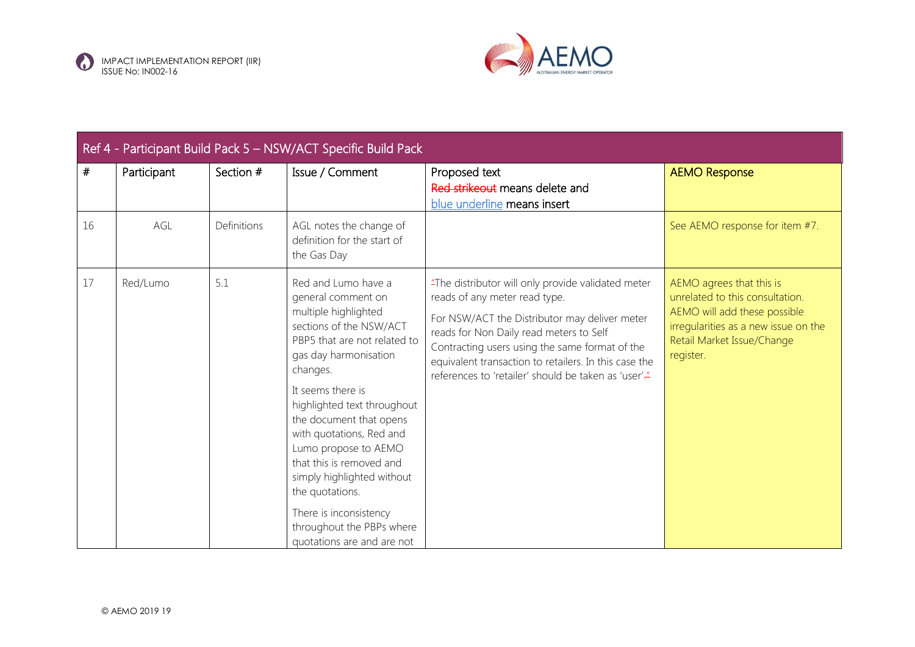



|    | Ref 4 - Participant Build Pack 5 - NSW/ACT Specific Build Pack |             |                                                                                                                                                                                                                                                                                                                                                                                                                                                                        |                                                                                                                                                                                                                                                                                                                                                    |                                                                                                                                                                                |  |  |
|----|----------------------------------------------------------------|-------------|------------------------------------------------------------------------------------------------------------------------------------------------------------------------------------------------------------------------------------------------------------------------------------------------------------------------------------------------------------------------------------------------------------------------------------------------------------------------|----------------------------------------------------------------------------------------------------------------------------------------------------------------------------------------------------------------------------------------------------------------------------------------------------------------------------------------------------|--------------------------------------------------------------------------------------------------------------------------------------------------------------------------------|--|--|
| #  | Participant                                                    | Section #   | Issue / Comment                                                                                                                                                                                                                                                                                                                                                                                                                                                        | Proposed text<br>Red strikeout means delete and<br>blue underline means insert                                                                                                                                                                                                                                                                     | <b>AEMO Response</b>                                                                                                                                                           |  |  |
| 16 | AGL                                                            | Definitions | AGL notes the change of<br>definition for the start of<br>the Gas Day                                                                                                                                                                                                                                                                                                                                                                                                  |                                                                                                                                                                                                                                                                                                                                                    | See AEMO response for item #7.                                                                                                                                                 |  |  |
| 17 | Red/Lumo                                                       | 5.1         | Red and Lumo have a<br>general comment on<br>multiple highlighted<br>sections of the NSW/ACT<br>PBP5 that are not related to<br>gas day harmonisation<br>changes.<br>It seems there is<br>highlighted text throughout<br>the document that opens<br>with quotations, Red and<br>Lumo propose to AEMO<br>that this is removed and<br>simply highlighted without<br>the quotations.<br>There is inconsistency<br>throughout the PBPs where<br>quotations are and are not | "The distributor will only provide validated meter<br>reads of any meter read type.<br>For NSW/ACT the Distributor may deliver meter<br>reads for Non Daily read meters to Self<br>Contracting users using the same format of the<br>equivalent transaction to retailers. In this case the<br>references to 'retailer' should be taken as 'user'." | AEMO agrees that this is<br>unrelated to this consultation.<br>AEMO will add these possible<br>irregularities as a new issue on the<br>Retail Market Issue/Change<br>register. |  |  |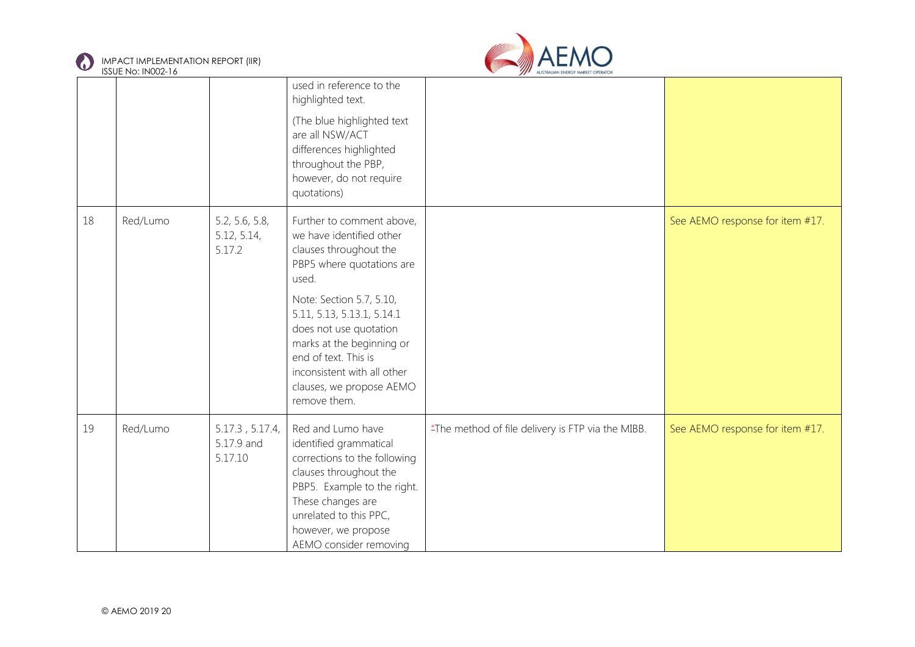



|    | <b>IJJUL INU. IINUUZ-TU</b> |                                          |                                                                                                                                                                                                                                                                                                                                           |                                                   |                                 |
|----|-----------------------------|------------------------------------------|-------------------------------------------------------------------------------------------------------------------------------------------------------------------------------------------------------------------------------------------------------------------------------------------------------------------------------------------|---------------------------------------------------|---------------------------------|
|    |                             |                                          | used in reference to the<br>highlighted text.<br>(The blue highlighted text<br>are all NSW/ACT<br>differences highlighted<br>throughout the PBP,<br>however, do not require<br>quotations)                                                                                                                                                |                                                   |                                 |
| 18 | Red/Lumo                    | 5.2, 5.6, 5.8,<br>5.12, 5.14,<br>5.17.2  | Further to comment above,<br>we have identified other<br>clauses throughout the<br>PBP5 where quotations are<br>used.<br>Note: Section 5.7, 5.10,<br>5.11, 5.13, 5.13.1, 5.14.1<br>does not use quotation<br>marks at the beginning or<br>end of text. This is<br>inconsistent with all other<br>clauses, we propose AEMO<br>remove them. |                                                   | See AEMO response for item #17. |
| 19 | Red/Lumo                    | 5.17.3, 5.17.4,<br>5.17.9 and<br>5.17.10 | Red and Lumo have<br>identified grammatical<br>corrections to the following<br>clauses throughout the<br>PBP5. Example to the right.<br>These changes are<br>unrelated to this PPC,<br>however, we propose<br>AEMO consider removing                                                                                                      | "The method of file delivery is FTP via the MIBB. | See AEMO response for item #17. |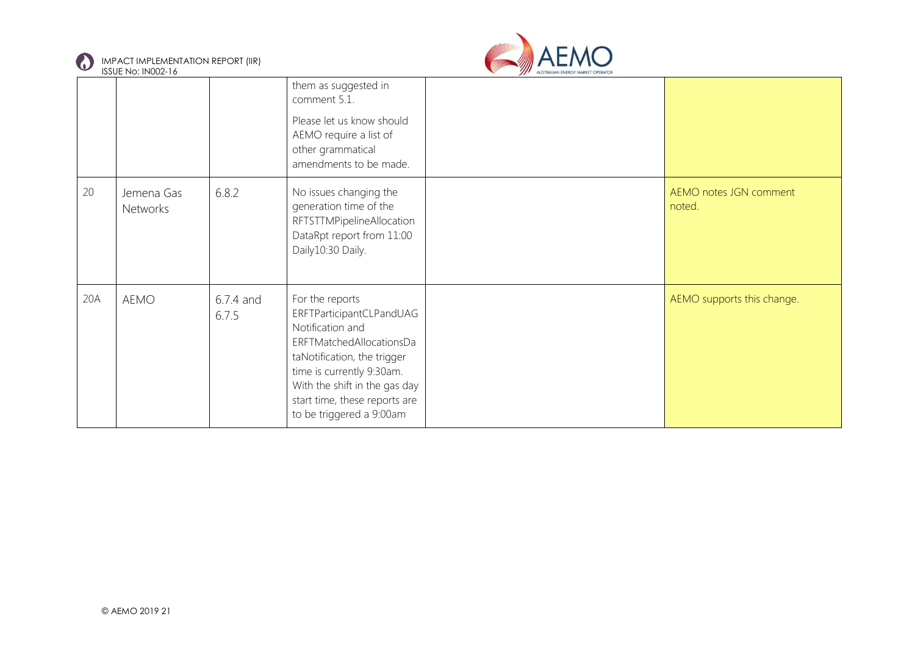



|     | 1990 L 190. II 900 L 1 1 0 |                    |                                                                                                                                                                                                                                                       |                                  |
|-----|----------------------------|--------------------|-------------------------------------------------------------------------------------------------------------------------------------------------------------------------------------------------------------------------------------------------------|----------------------------------|
|     |                            |                    | them as suggested in<br>comment 5.1.<br>Please let us know should<br>AEMO require a list of<br>other grammatical<br>amendments to be made.                                                                                                            |                                  |
| 20  | Jemena Gas<br>Networks     | 6.8.2              | No issues changing the<br>generation time of the<br>RFTSTTMPipelineAllocation<br>DataRpt report from 11:00<br>Daily10:30 Daily.                                                                                                                       | AEMO notes JGN comment<br>noted. |
| 20A | AEMO                       | 6.7.4 and<br>6.7.5 | For the reports<br>ERFTParticipantCLPandUAG<br>Notification and<br>ERFTMatchedAllocationsDa<br>taNotification, the trigger<br>time is currently 9:30am.<br>With the shift in the gas day<br>start time, these reports are<br>to be triggered a 9:00am | AEMO supports this change.       |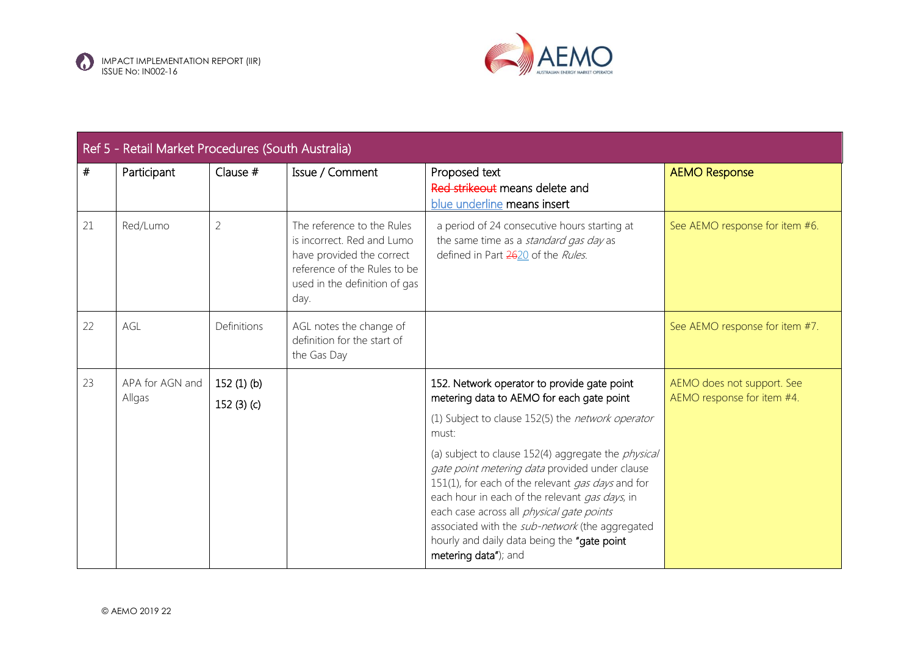



| Ref 5 - Retail Market Procedures (South Australia) |                           |                              |                                                                                                                                                                |                                                                                                                                                                                                                                                                                                                                                                                            |                                                          |
|----------------------------------------------------|---------------------------|------------------------------|----------------------------------------------------------------------------------------------------------------------------------------------------------------|--------------------------------------------------------------------------------------------------------------------------------------------------------------------------------------------------------------------------------------------------------------------------------------------------------------------------------------------------------------------------------------------|----------------------------------------------------------|
| #                                                  | Participant               | Clause $#$                   | Issue / Comment                                                                                                                                                | Proposed text<br>Red strikeout means delete and<br>blue underline means insert                                                                                                                                                                                                                                                                                                             | <b>AEMO Response</b>                                     |
| 21                                                 | Red/Lumo                  | 2                            | The reference to the Rules<br>is incorrect. Red and Lumo<br>have provided the correct<br>reference of the Rules to be<br>used in the definition of gas<br>day. | a period of 24 consecutive hours starting at<br>the same time as a standard gas day as<br>defined in Part 2620 of the Rules.                                                                                                                                                                                                                                                               | See AEMO response for item #6.                           |
| 22                                                 | AGL                       | Definitions                  | AGL notes the change of<br>definition for the start of<br>the Gas Day                                                                                          |                                                                                                                                                                                                                                                                                                                                                                                            | See AEMO response for item #7.                           |
| 23                                                 | APA for AGN and<br>Allgas | $152(1)$ (b)<br>152 $(3)(c)$ |                                                                                                                                                                | 152. Network operator to provide gate point<br>metering data to AEMO for each gate point                                                                                                                                                                                                                                                                                                   | AEMO does not support. See<br>AEMO response for item #4. |
|                                                    |                           |                              |                                                                                                                                                                | (1) Subject to clause 152(5) the network operator<br>must:                                                                                                                                                                                                                                                                                                                                 |                                                          |
|                                                    |                           |                              |                                                                                                                                                                | (a) subject to clause 152(4) aggregate the <i>physical</i><br>gate point metering data provided under clause<br>151(1), for each of the relevant gas days and for<br>each hour in each of the relevant gas days, in<br>each case across all physical gate points<br>associated with the sub-network (the aggregated<br>hourly and daily data being the "gate point<br>metering data"); and |                                                          |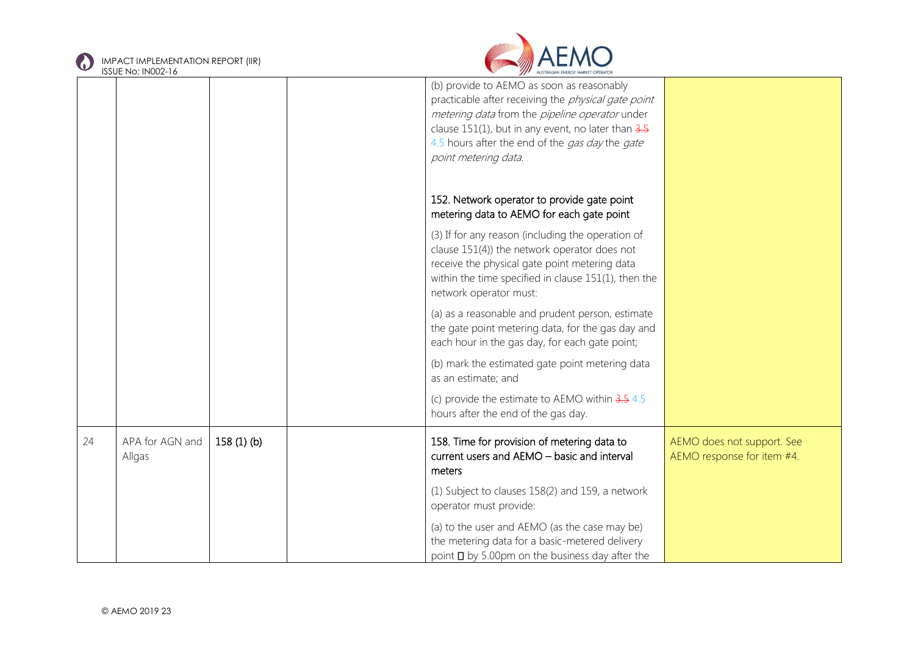



|    | <b>ISSUE No: IN002-16</b> |           | AUSTRALIAN ENERGY MARKET OPERATOR                                                                                                                                                                                                                                                               |                                                          |
|----|---------------------------|-----------|-------------------------------------------------------------------------------------------------------------------------------------------------------------------------------------------------------------------------------------------------------------------------------------------------|----------------------------------------------------------|
|    |                           |           | (b) provide to AEMO as soon as reasonably<br>practicable after receiving the <i>physical gate point</i><br>metering data from the pipeline operator under<br>clause $151(1)$ , but in any event, no later than $3.5$<br>4.5 hours after the end of the gas day the gate<br>point metering data. |                                                          |
|    |                           |           | 152. Network operator to provide gate point<br>metering data to AEMO for each gate point                                                                                                                                                                                                        |                                                          |
|    |                           |           | (3) If for any reason (including the operation of<br>clause 151(4)) the network operator does not<br>receive the physical gate point metering data<br>within the time specified in clause 151(1), then the<br>network operator must:                                                            |                                                          |
|    |                           |           | (a) as a reasonable and prudent person, estimate<br>the gate point metering data, for the gas day and<br>each hour in the gas day, for each gate point;                                                                                                                                         |                                                          |
|    |                           |           | (b) mark the estimated gate point metering data<br>as an estimate; and                                                                                                                                                                                                                          |                                                          |
|    |                           |           | (c) provide the estimate to AEMO within $3.54.5$<br>hours after the end of the gas day.                                                                                                                                                                                                         |                                                          |
| 24 | APA for AGN and<br>Allgas | 158(1)(b) | 158. Time for provision of metering data to<br>current users and AEMO - basic and interval<br>meters                                                                                                                                                                                            | AEMO does not support. See<br>AEMO response for item #4. |
|    |                           |           | (1) Subject to clauses 158(2) and 159, a network<br>operator must provide:                                                                                                                                                                                                                      |                                                          |
|    |                           |           | (a) to the user and AEMO (as the case may be)<br>the metering data for a basic-metered delivery<br>point $\square$ by 5.00pm on the business day after the                                                                                                                                      |                                                          |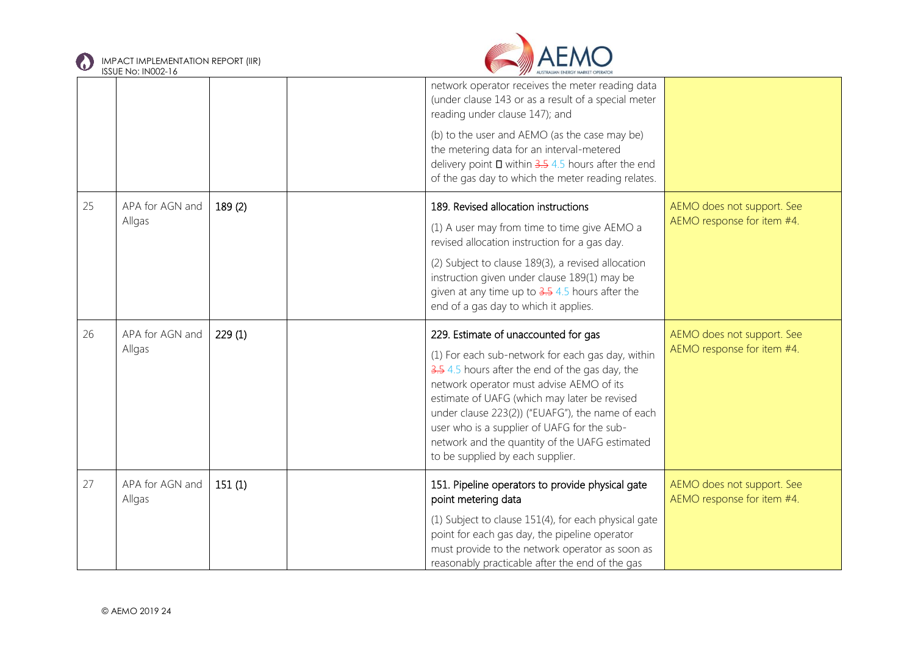



|    |                           |        | network operator receives the meter reading data<br>(under clause 143 or as a result of a special meter<br>reading under clause 147); and                                                                                                                                                                                                                                                                                         |                                                          |
|----|---------------------------|--------|-----------------------------------------------------------------------------------------------------------------------------------------------------------------------------------------------------------------------------------------------------------------------------------------------------------------------------------------------------------------------------------------------------------------------------------|----------------------------------------------------------|
|    |                           |        | (b) to the user and AEMO (as the case may be)<br>the metering data for an interval-metered<br>delivery point $\Box$ within 3.5 4.5 hours after the end<br>of the gas day to which the meter reading relates.                                                                                                                                                                                                                      |                                                          |
| 25 | APA for AGN and<br>Allgas | 189(2) | 189. Revised allocation instructions<br>(1) A user may from time to time give AEMO a<br>revised allocation instruction for a gas day.<br>(2) Subject to clause 189(3), a revised allocation<br>instruction given under clause 189(1) may be<br>given at any time up to $3.5$ 4.5 hours after the<br>end of a gas day to which it applies.                                                                                         | AEMO does not support. See<br>AEMO response for item #4. |
| 26 | APA for AGN and<br>Allgas | 229(1) | 229. Estimate of unaccounted for gas<br>(1) For each sub-network for each gas day, within<br>3.5 4.5 hours after the end of the gas day, the<br>network operator must advise AEMO of its<br>estimate of UAFG (which may later be revised<br>under clause 223(2)) ("EUAFG"), the name of each<br>user who is a supplier of UAFG for the sub-<br>network and the quantity of the UAFG estimated<br>to be supplied by each supplier. | AEMO does not support. See<br>AEMO response for item #4. |
| 27 | APA for AGN and<br>Allgas | 151(1) | 151. Pipeline operators to provide physical gate<br>point metering data<br>(1) Subject to clause 151(4), for each physical gate<br>point for each gas day, the pipeline operator<br>must provide to the network operator as soon as<br>reasonably practicable after the end of the gas                                                                                                                                            | AEMO does not support. See<br>AEMO response for item #4. |